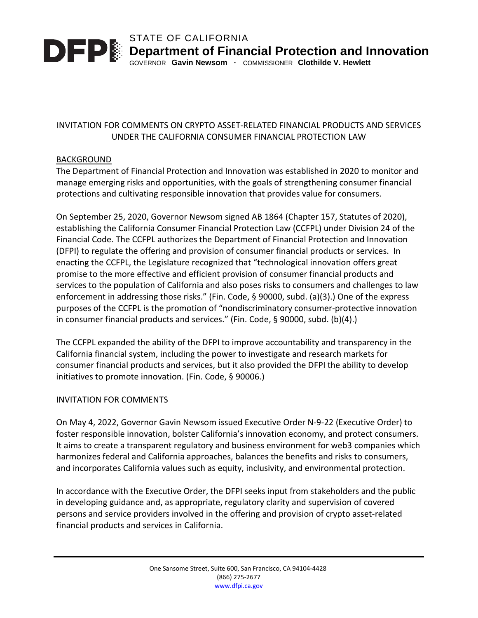

STATE OF CALIFORNIA **DED** Department of Financial Protection and Innovation

GOVERNOR **Gavin Newsom ·** COMMISSIONER **Clothilde V. Hewlett**

## INVITATION FOR COMMENTS ON CRYPTO ASSET-RELATED FINANCIAL PRODUCTS AND SERVICES UNDER THE CALIFORNIA CONSUMER FINANCIAL PROTECTION LAW

## BACKGROUND

The Department of Financial Protection and Innovation was established in 2020 to monitor and manage emerging risks and opportunities, with the goals of strengthening consumer financial protections and cultivating responsible innovation that provides value for consumers.

On September 25, 2020, Governor Newsom signed AB 1864 (Chapter 157, Statutes of 2020), establishing the California Consumer Financial Protection Law (CCFPL) under Division 24 of the Financial Code. The CCFPL authorizes the Department of Financial Protection and Innovation (DFPI) to regulate the offering and provision of consumer financial products or services. In enacting the CCFPL, the Legislature recognized that "technological innovation offers great promise to the more effective and efficient provision of consumer financial products and services to the population of California and also poses risks to consumers and challenges to law enforcement in addressing those risks." (Fin. Code, § 90000, subd. (a)(3).) One of the express purposes of the CCFPL is the promotion of "nondiscriminatory consumer-protective innovation in consumer financial products and services." (Fin. Code, § 90000, subd. (b)(4).)

The CCFPL expanded the ability of the DFPI to improve accountability and transparency in the California financial system, including the power to investigate and research markets for consumer financial products and services, but it also provided the DFPI the ability to develop initiatives to promote innovation. (Fin. Code, § 90006.)

### INVITATION FOR COMMENTS

On May 4, 2022, Governor Gavin Newsom issued Executive Order N-9-22 (Executive Order) to foster responsible innovation, bolster California's innovation economy, and protect consumers. It aims to create a transparent regulatory and business environment for web3 companies which harmonizes federal and California approaches, balances the benefits and risks to consumers, and incorporates California values such as equity, inclusivity, and environmental protection.

In accordance with the Executive Order, the DFPI seeks input from stakeholders and the public in developing guidance and, as appropriate, regulatory clarity and supervision of covered persons and service providers involved in the offering and provision of crypto asset-related financial products and services in California.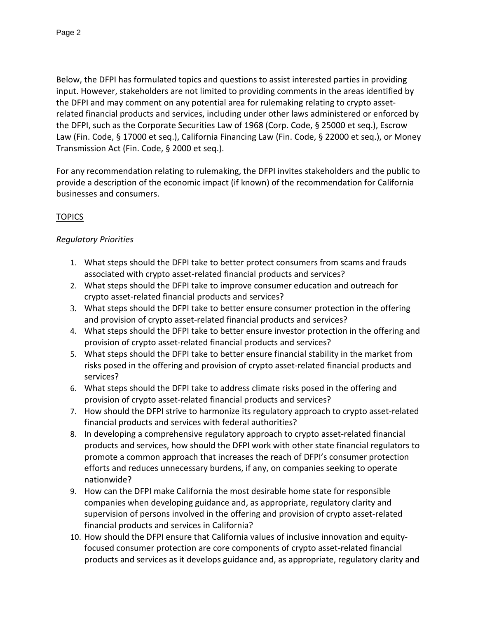Below, the DFPI has formulated topics and questions to assist interested parties in providing input. However, stakeholders are not limited to providing comments in the areas identified by the DFPI and may comment on any potential area for rulemaking relating to crypto assetrelated financial products and services, including under other laws administered or enforced by the DFPI, such as the Corporate Securities Law of 1968 (Corp. Code, § 25000 et seq.), Escrow Law (Fin. Code, § 17000 et seq.), California Financing Law (Fin. Code, § 22000 et seq.), or Money Transmission Act (Fin. Code, § 2000 et seq.).

For any recommendation relating to rulemaking, the DFPI invites stakeholders and the public to provide a description of the economic impact (if known) of the recommendation for California businesses and consumers.

# **TOPICS**

# *Regulatory Priorities*

- 1. What steps should the DFPI take to better protect consumers from scams and frauds associated with crypto asset-related financial products and services?
- 2. What steps should the DFPI take to improve consumer education and outreach for crypto asset-related financial products and services?
- 3. What steps should the DFPI take to better ensure consumer protection in the offering and provision of crypto asset-related financial products and services?
- 4. What steps should the DFPI take to better ensure investor protection in the offering and provision of crypto asset-related financial products and services?
- 5. What steps should the DFPI take to better ensure financial stability in the market from risks posed in the offering and provision of crypto asset-related financial products and services?
- 6. What steps should the DFPI take to address climate risks posed in the offering and provision of crypto asset-related financial products and services?
- 7. How should the DFPI strive to harmonize its regulatory approach to crypto asset-related financial products and services with federal authorities?
- 8. In developing a comprehensive regulatory approach to crypto asset-related financial products and services, how should the DFPI work with other state financial regulators to promote a common approach that increases the reach of DFPI's consumer protection efforts and reduces unnecessary burdens, if any, on companies seeking to operate nationwide?
- 9. How can the DFPI make California the most desirable home state for responsible companies when developing guidance and, as appropriate, regulatory clarity and supervision of persons involved in the offering and provision of crypto asset-related financial products and services in California?
- 10. How should the DFPI ensure that California values of inclusive innovation and equityfocused consumer protection are core components of crypto asset-related financial products and services as it develops guidance and, as appropriate, regulatory clarity and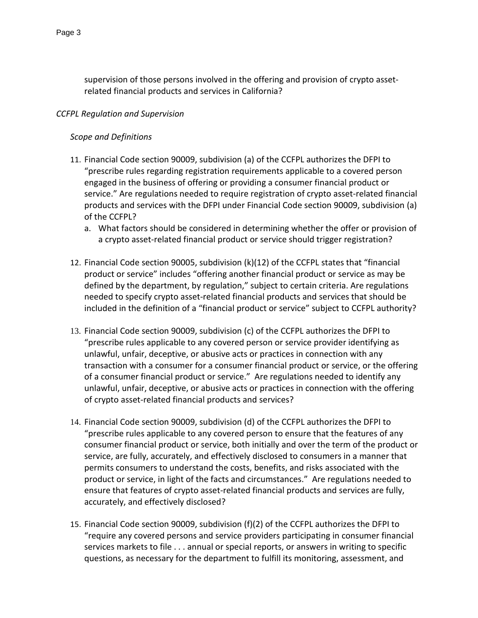supervision of those persons involved in the offering and provision of crypto assetrelated financial products and services in California?

## *CCFPL Regulation and Supervision*

## *Scope and Definitions*

- 11. Financial Code section 90009, subdivision (a) of the CCFPL authorizes the DFPI to "prescribe rules regarding registration requirements applicable to a covered person engaged in the business of offering or providing a consumer financial product or service." Are regulations needed to require registration of crypto asset-related financial products and services with the DFPI under Financial Code section 90009, subdivision (a) of the CCFPL?
	- a. What factors should be considered in determining whether the offer or provision of a crypto asset-related financial product or service should trigger registration?
- 12. Financial Code section 90005, subdivision (k)(12) of the CCFPL states that "financial product or service" includes "offering another financial product or service as may be defined by the department, by regulation," subject to certain criteria. Are regulations needed to specify crypto asset-related financial products and services that should be included in the definition of a "financial product or service" subject to CCFPL authority?
- 13. Financial Code section 90009, subdivision (c) of the CCFPL authorizes the DFPI to "prescribe rules applicable to any covered person or service provider identifying as unlawful, unfair, deceptive, or abusive acts or practices in connection with any transaction with a consumer for a consumer financial product or service, or the offering of a consumer financial product or service." Are regulations needed to identify any unlawful, unfair, deceptive, or abusive acts or practices in connection with the offering of crypto asset-related financial products and services?
- 14. Financial Code section 90009, subdivision (d) of the CCFPL authorizes the DFPI to "prescribe rules applicable to any covered person to ensure that the features of any consumer financial product or service, both initially and over the term of the product or service, are fully, accurately, and effectively disclosed to consumers in a manner that permits consumers to understand the costs, benefits, and risks associated with the product or service, in light of the facts and circumstances." Are regulations needed to ensure that features of crypto asset-related financial products and services are fully, accurately, and effectively disclosed?
- 15. Financial Code section 90009, subdivision (f)(2) of the CCFPL authorizes the DFPI to "require any covered persons and service providers participating in consumer financial services markets to file . . . annual or special reports, or answers in writing to specific questions, as necessary for the department to fulfill its monitoring, assessment, and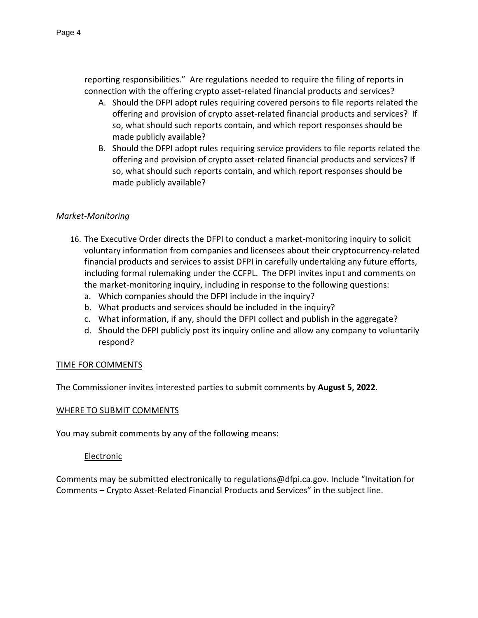reporting responsibilities." Are regulations needed to require the filing of reports in connection with the offering crypto asset-related financial products and services?

- A. Should the DFPI adopt rules requiring covered persons to file reports related the offering and provision of crypto asset-related financial products and services? If so, what should such reports contain, and which report responses should be made publicly available?
- B. Should the DFPI adopt rules requiring service providers to file reports related the offering and provision of crypto asset-related financial products and services? If so, what should such reports contain, and which report responses should be made publicly available?

## *Market-Monitoring*

- 16. The Executive Order directs the DFPI to conduct a market-monitoring inquiry to solicit voluntary information from companies and licensees about their cryptocurrency-related financial products and services to assist DFPI in carefully undertaking any future efforts, including formal rulemaking under the CCFPL. The DFPI invites input and comments on the market-monitoring inquiry, including in response to the following questions:
	- a. Which companies should the DFPI include in the inquiry?
	- b. What products and services should be included in the inquiry?
	- c. What information, if any, should the DFPI collect and publish in the aggregate?
	- d. Should the DFPI publicly post its inquiry online and allow any company to voluntarily respond?

### TIME FOR COMMENTS

The Commissioner invites interested parties to submit comments by **August 5, 2022**.

### WHERE TO SUBMIT COMMENTS

You may submit comments by any of the following means:

### Electronic

Comments may be submitted electronically to regulations@dfpi.ca.gov. Include "Invitation for Comments – Crypto Asset-Related Financial Products and Services" in the subject line.